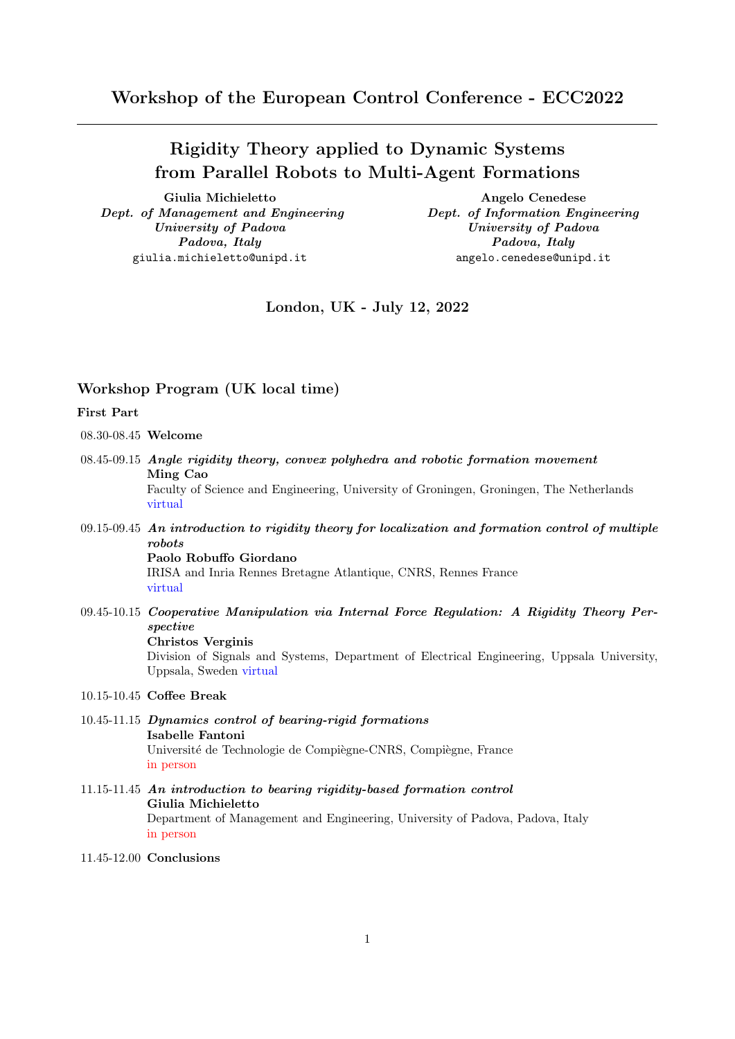# Rigidity Theory applied to Dynamic Systems from Parallel Robots to Multi-Agent Formations

Giulia Michieletto **Angelo** Cenedese Dept. of Management and Engineering Dept. of Information Engineering University of Padova University of Padova Padova, Italy Padova, Italy giulia.michieletto@unipd.it angelo.cenedese@unipd.it

London, UK - July 12, 2022

### Workshop Program (UK local time)

## First Part

08.30-08.45 Welcome

- 08.45-09.15 Angle rigidity theory, convex polyhedra and robotic formation movement Ming Cao Faculty of Science and Engineering, University of Groningen, Groningen, The Netherlands virtual
- $09.15-09.45$  An introduction to rigidity theory for localization and formation control of multiple robots Paolo Robuffo Giordano

IRISA and Inria Rennes Bretagne Atlantique, CNRS, Rennes France virtual

09.45-10.15 Cooperative Manipulation via Internal Force Regulation: A Rigidity Theory Perspective Christos Verginis

> Division of Signals and Systems, Department of Electrical Engineering, Uppsala University, Uppsala, Sweden virtual

#### 10.15-10.45 Coffee Break

- 10.45-11.15 Dynamics control of bearing-rigid formations Isabelle Fantoni Université de Technologie de Compiègne-CNRS, Compiègne, France in person
- 11.15-11.45 An introduction to bearing rigidity-based formation control Giulia Michieletto Department of Management and Engineering, University of Padova, Padova, Italy in person
- 11.45-12.00 Conclusions